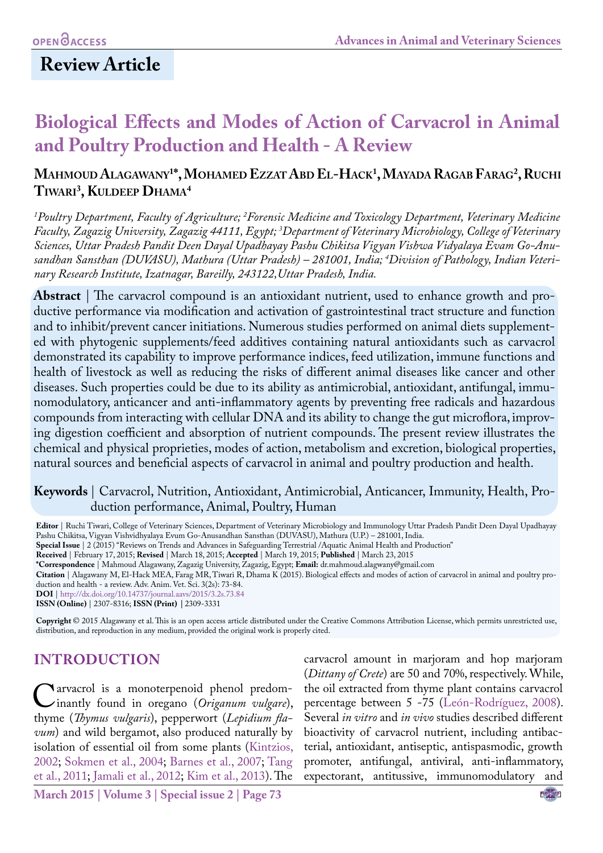# **Review Article**

# **Biological Effects and Modes of Action of Carvacrol in Animal and Poultry Production and Health - A Review**

# **Mahmoud Alagawany1 \*, Mohamed Ezzat Abd El-Hack1 , Mayada Ragab Farag2 , Ruchi Tiwari 3 , Kuldeep Dhama4**

*1 Poultry Department, Faculty of Agriculture; 2 Forensic Medicine and Toxicology Department, Veterinary Medicine Faculty, Zagazig University, Zagazig 44111, Egypt; 3 Department of Veterinary Microbiology, College of Veterinary Sciences, Uttar Pradesh Pandit Deen Dayal Upadhayay Pashu Chikitsa Vigyan Vishwa Vidyalaya Evam Go-Anusandhan Sansthan (DUVASU), Mathura (Uttar Pradesh) – 281001, India; 4 Division of Pathology, Indian Veterinary Research Institute, Izatnagar, Bareilly, 243122,Uttar Pradesh, India.*

**Abstract** | The carvacrol compound is an antioxidant nutrient, used to enhance growth and productive performance via modification and activation of gastrointestinal tract structure and function and to inhibit/prevent cancer initiations. Numerous studies performed on animal diets supplemented with phytogenic supplements/feed additives containing natural antioxidants such as carvacrol demonstrated its capability to improve performance indices, feed utilization, immune functions and health of livestock as well as reducing the risks of different animal diseases like cancer and other diseases. Such properties could be due to its ability as antimicrobial, antioxidant, antifungal, immunomodulatory, anticancer and anti-inflammatory agents by preventing [free radicals](http://www.scialert.net/asci/result.php?searchin=Keywords&cat=&ascicat=ALL&Submit=Search&keyword=free+radical) and hazardous compounds from interacting with cellular DNA and its ability to change the gut microflora, improving digestion coefficient and absorption of nutrient compounds. The present review illustrates the chemical and physical proprieties, modes of action, metabolism and excretion, biological properties, natural sources and beneficial aspects of carvacrol in animal and poultry production and health.

# **Keywords** | Carvacrol, Nutrition, Antioxidant, Antimicrobial, Anticancer, Immunity, Health, Production performance, Animal, Poultry, Human

**Editor** | Ruchi Tiwari, College of Veterinary Sciences, Department of Veterinary Microbiology and Immunology Uttar Pradesh Pandit Deen Dayal Upadhayay Pashu Chikitsa, Vigyan Vishvidhyalaya Evum Go-Anusandhan Sansthan (DUVASU), Mathura (U.P.) – 281001, India.

**Special Issue** | 2 (2015) "Reviews on Trends and Advances in Safeguarding Terrestrial /Aquatic Animal Health and Production"

**Received** | February 17, 2015; **Revised** | March 18, 2015; **Accepted** | March 19, 2015; **Published** | March 23, 2015

**\*Correspondence** | Mahmoud Alagawany, Zagazig University, Zagazig, Egypt; **Email:** dr.mahmoud.alagwany@gmail.com

**Citation** | Alagawany M, El-Hack MEA, Farag MR, Tiwari R, Dhama K (2015). Biological effects and modes of action of carvacrol in animal and poultry production and health - a review. Adv. Anim. Vet. Sci. 3(2s): 73-84.

**DOI** | <http://dx.doi.org/10.14737/journal.aavs/2015/3.2s.73.84>

**ISSN (Online)** | 2307-8316; **ISSN (Print) |** 2309-3331

**Copyright** © 2015 Alagawany et al. This is an open access article distributed under the Creative Commons Attribution License, which permits unrestricted use, distribution, and reproduction in any medium, provided the original work is properly cited.

# **INTRODUCTION**

[C](http://en.wikipedia.org/wiki/Thyme)arvacrol is a [monoterpenoid](http://en.wikipedia.org/wiki/Monoterpene) [phenol predom](http://en.wikipedia.org/wiki/Origanum_vulgare)inantly found in oregano (*Origanum vulgare*), thyme (*Thymus vulgaris*), pepperwort (*Lepidium fla[vum](http://en.wikipedia.org/wiki/Lepidium_flavum)*) and [wild bergamot](http://en.wikipedia.org/wiki/Monarda_fistulosa), also produced naturally by isolation of essential oil from some plants [\(Kintzios,](#page-9-0)  [2002](#page-9-0); Sokmen et al., 2004; [Barnes et al., 2007](#page-7-0); Tang et al., 2011; [Jamali et al., 2012](#page-9-1); [Kim et al., 2013\)](#page-9-2). The carvacrol amount in marjoram and hop marjoram (*[Dittany of Crete](http://en.wikipedia.org/wiki/Dittany_of_Crete)*) are 50 and 70%, respectively. While, the oil extracted from thyme plant contains carvacrol percentage between 5 -75 (León-Rodríguez, 2008). Several *in vitro* and *in vivo* studies described different bioactivity of carvacrol nutrient, including antibacterial, antioxidant, antiseptic, antispasmodic, growth promoter, antifungal, antiviral, anti-inflammatory, expectorant, antitussive, immunomodulatory and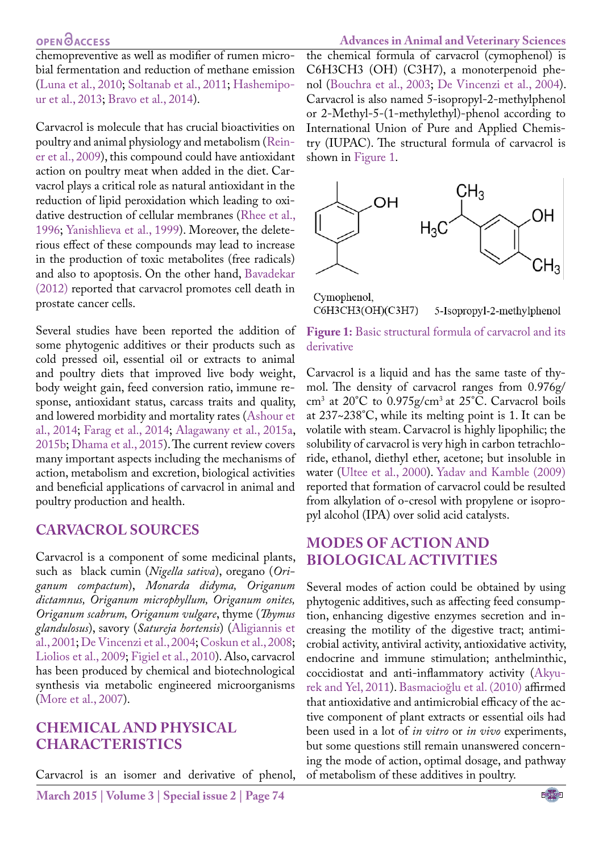chemopreventive as well as modifier of rumen microbial fermentation and reduction of methane emission (Luna et al., 2010; Soltanab et al., 2011; [Hashemipo](#page-8-0)[ur et al., 2013;](#page-8-0) [Bravo et al., 2014\)](#page-8-1).

Carvacrol is molecule that has crucial bioactivities on poultry and animal physiology and metabolism (Reiner et al., 2009), this compound could have antioxidant action on poultry meat when added in the diet. Carvacrol plays a critical role as natural antioxidant in the reduction of lipid peroxidation which leading to oxidative destruction of cellular membranes (Rhee et al., 1996; Yanishlieva et al., 1999). Moreover, the deleterious effect of these compounds may lead to increase in the production of toxic metabolites (free radicals) and also to apoptosis. On the other hand, [Bavadekar](#page-7-1) [\(2012\)](#page-7-1) reported that carvacrol promotes [cell](http://en.wikipedia.org/wiki/Apoptosis) death in prostate cancer cells.

Several studies have been reported the addition of some phytogenic additives or their products such as cold pressed oil, essential oil or extracts to animal and poultry diets that improved live body weight, body weight gain, feed conversion ratio, immune response, antioxidant status, carcass traits and quality, and lowered morbidity and mortality rates ([Ashour et](#page-7-2) [al., 2014](#page-7-2); [Farag et al., 2014](#page-8-2); [Alagawany et al., 2015a](#page-7-3), [2015b](#page-7-4); [Dhama et al., 2015](#page-8-3)). The current review covers many important aspects including the mechanisms of action, metabolism and excretion, biological activities and beneficial applications of carvacrol in animal and poultry production and health.

### **CARVACROL SOURCES**

Carvacrol is a component of some medicinal plants, such as black cumin (*Nigella sativa*), oregano (*Origanum compactum*), *Monarda didyma, Origanum dictamnus, Origanum microphyllum, Origanum onites, Origanum scabrum, Origanum vulgare*, thyme (*Thymus glandulosus*), savory (*Satureja hortensis*) ([Aligiannis et](#page-7-5) [al., 2001;](#page-7-5) [De Vincenzi et al., 2004](#page-8-4); Coskun et al., 2008; [Liolios et al., 2009;](#page-10-0) Figiel et al., 2010). Also, carvacrol has been produced by chemical and biotechnological synthesis via metabolic engineered microorganisms (More et al., 2007).

# **CHEMICAL AND PHYSICAL CHARACTERISTICS**

Carvacrol is an isomer and derivative of phenol,

**March 2015 | Volume 3 | Special issue 2 | Page 74**

**Advances in Animal and Veterinary Sciences** the chemical formula of carvacrol (cymophenol) is C6H3CH3 (OH) (C3H7), a [monoterpenoid](http://en.wikipedia.org/wiki/Monoterpene) phenol [\(Bouchra et al., 2003](#page-8-5); [De Vincenzi et al., 2004](#page-8-4)). Carvacrol is also named 5-isopropyl-2-methylphenol or 2-Methyl-5-(1-methylethyl)-phenol according to International Union of Pure and Applied Chemistry (IUPAC). The structural formula of carvacrol is shown in [Figure 1](#page-1-0).



Cymophenol, С6Н3СН3(ОН)(С3Н7)

5-Isopropyl-2-methylphenol

<span id="page-1-0"></span>**Figure 1:** Basic structural formula of carvacrol and its derivative

Carvacrol is a liquid and has the same taste of thymol. The density of carvacrol ranges from 0.976g/ cm3 at 20°C to 0.975g/cm3 at 25°C. Carvacrol boils at 237~238°C, while its melting point is 1. It can be volatile with steam. Carvacrol is highly lipophilic; the solubility of carvacrol is very high in [carbon tetrachlo](http://en.wikipedia.org/wiki/Carbon_tetrachloride)[ride](http://en.wikipedia.org/wiki/Carbon_tetrachloride), [ethanol,](http://en.wikipedia.org/wiki/Ethanol) [diethyl ether,](http://en.wikipedia.org/wiki/Diethyl_ether) [acetone](http://en.wikipedia.org/wiki/Acetone); but insoluble in water (Ultee et al., 2000). Yadav and Kamble (2009) reported that formation of carvacrol could be resulted from alkylation of o-cresol with propylene or isopropyl alcohol (IPA) over solid acid catalysts.

# **MODES OF ACTION AND BIOLOGICAL ACTIVITIES**

Several modes of action could be obtained by using phytogenic additives, such as affecting feed consumption, enhancing digestive enzymes secretion and increasing the motility of the digestive tract; antimicrobial activity, antiviral activity, antioxidative activity, endocrine and immune stimulation; anthelminthic, coccidiostat and anti-inflammatory activity ([Akyu](#page-6-0)[rek and Yel, 2011](#page-6-0)). Basmacioğlu et al. (2010) affirmed that antioxidative and antimicrobial efficacy of the active component of plant extracts or essential oils had been used in a lot of *in vitro* or *in vivo* experiments, but some questions still remain unanswered concerning the mode of action, optimal dosage, and pathway of metabolism of these additives in poultry.

NE**Xus**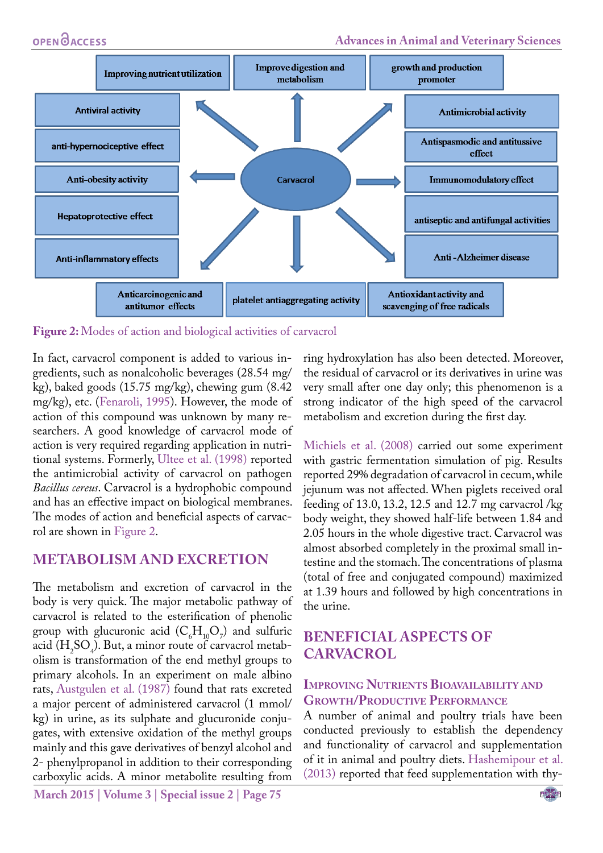

<span id="page-2-0"></span>**Figure 2:** Modes of action and biological activities of carvacrol

In fact, carvacrol component is added to various ingredients, such as nonalcoholic beverages (28.54 mg/ kg), baked goods (15.75 mg/kg), chewing gum (8.42 mg/kg), etc. [\(Fenaroli, 1995](#page-8-6)). However, the mode of action of this compound was unknown by many researchers. A good knowledge of carvacrol mode of action is very required regarding application in nutritional systems. Formerly, Ultee et al. (1998) reported the antimicrobial activity of carvacrol on pathogen *Bacillus cereus*. Carvacrol is a hydrophobic compound and has an effective impact on biological membranes. The modes of action and beneficial aspects of carvacrol are shown in [Figure 2](#page-2-0).

## **METABOLISM AND EXCRETION**

The metabolism and excretion of carvacrol in the body is very quick. The major metabolic pathway of carvacrol is related to the [esterification](http://en.wikipedia.org/wiki/Ester) of [phenolic](http://en.wikipedia.org/wiki/Phenol) group with [glucuronic acid](http://en.wikipedia.org/wiki/Glucuronic_acid)  $(C_6H_{10}O_7)$  and sulfuric acid  $(H_2SO_4)$ . But, a minor route of carvacrol metabolism is [transformation](http://en.wikipedia.org/wiki/Oxidation) of the end [methyl](http://en.wikipedia.org/wiki/Methyl) groups to primary [alcohols](http://en.wikipedia.org/wiki/Alcohols). In an experiment on male albino rats, [Austgulen et al. \(1987\)](#page-7-6) found that rats excreted a major percent of administered carvacrol (1 mmol/ kg) in urine, as its sulphate and glucuronide conjugates, with extensive oxidation of the methyl groups mainly and this gave derivatives of benzyl alcohol and 2- phenylpropanol in addition to their corresponding carboxylic acids. A minor metabolite resulting from

**March 2015 | Volume 3 | Special issue 2 | Page 75**

ring hydroxylation has also been detected. Moreover, the residual of carvacrol or its derivatives in urine was very small after one day only; this phenomenon is a strong indicator of the high speed of the carvacrol metabolism and excretion during the first day.

Michiels et al. (2008) carried out some experiment with gastric fermentation simulation of pig. Results reported 29% degradation of carvacrol in cecum, while jejunum was not affected. When piglets received oral feeding of 13.0, 13.2, 12.5 and 12.7 mg carvacrol /kg body weight, they showed half-life between 1.84 and 2.05 hours in the whole digestive tract. Carvacrol was almost absorbed completely in the proximal small intestine and the stomach. The concentrations of plasma (total of free and conjugated compound) maximized at 1.39 hours and followed by high concentrations in the urine.

# **BENEFICIAL ASPECTS OF CARVACROL**

## **Improving Nutrients Bioavailability and Growth/Productive Performance**

A number of animal and poultry trials have been conducted previously to establish the dependency and functionality of carvacrol and supplementation of it in animal and poultry diets. [Hashemipour et al.](#page-8-0)  [\(2013\)](#page-8-0) reported that feed supplementation with thy-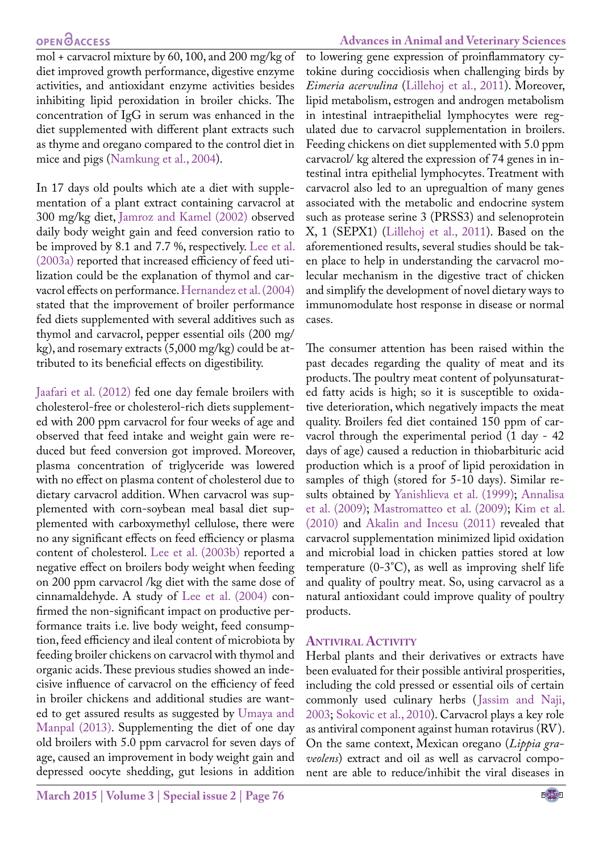mol + carvacrol mixture by 60, 100, and 200 mg/kg of diet improved growth performance, digestive enzyme activities, and antioxidant enzyme activities besides inhibiting lipid peroxidation in broiler chicks. The concentration of IgG in serum was enhanced in the diet supplemented with different plant extracts such as thyme and oregano compared to the control diet in mice and pigs (Namkung et al., 2004).

In 17 days old poults which ate a diet with supplementation of a plant extract containing carvacrol at 300 mg/kg diet, [Jamroz and Kamel \(2002\)](#page-9-3) observed daily body weight gain and feed conversion ratio to be improved by 8.1 and 7.7 %, respectively. [Lee et al.](#page-9-4)  [\(2003a\)](#page-9-4) reported that increased efficiency of feed utilization could be the explanation of thymol and carvacrol effects on performance. [Hernandez et al. \(2004\)](#page-9-5) stated that the improvement of broiler performance fed diets supplemented with several additives such as thymol and carvacrol, pepper essential oils (200 mg/ kg), and rosemary extracts (5,000 mg/kg) could be attributed to its beneficial effects on digestibility.

Jaafari et al. (2012) fed one day female broilers with cholesterol-free or cholesterol-rich diets supplemented with 200 ppm carvacrol for four weeks of age and observed that feed intake and weight gain were reduced but feed conversion got improved. Moreover, plasma concentration of triglyceride was lowered with no effect on plasma content of cholesterol due to dietary carvacrol addition. When carvacrol was supplemented with corn-soybean meal basal diet supplemented with carboxymethyl cellulose, there were no any significant effects on feed efficiency or plasma content of cholesterol. [Lee et al. \(2003b\)](#page-9-6) reported a negative effect on broilers body weight when feeding on 200 ppm carvacrol /kg diet with the same dose of cinnamaldehyde. A study of [Lee et al. \(2004\)](#page-9-7) confirmed the non-significant impact on productive performance traits i.e. live body weight, feed consumption, feed efficiency and ileal content of microbiota by feeding broiler chickens on carvacrol with thymol and organic acids. These previous studies showed an indecisive influence of carvacrol on the efficiency of feed in broiler chickens and additional studies are wanted to get assured results as suggested by Umaya and Manpal (2013). Supplementing the diet of one day old broilers with 5.0 ppm carvacrol for seven days of age, caused an improvement in body weight gain and depressed oocyte shedding, gut lesions in addition

#### **Advances in Animal and Veterinary Sciences**

to lowering gene expression of proinflammatory cytokine during coccidiosis when challenging birds by *Eimeria acervulina* ([Lillehoj et al., 2011](#page-10-1)). Moreover, lipid metabolism, estrogen and androgen metabolism in intestinal intraepithelial lymphocytes were regulated due to carvacrol supplementation in broilers. Feeding chickens on diet supplemented with 5.0 ppm carvacrol/ kg altered the expression of 74 genes in intestinal intra epithelial lymphocytes. Treatment with carvacrol also led to an upregualtion of many genes associated with the metabolic and endocrine system such as protease serine 3 (PRSS3) and selenoprotein X, 1 (SEPX1) [\(Lillehoj et al., 2011](#page-10-1)). Based on the aforementioned results, several studies should be taken place to help in understanding the carvacrol molecular mechanism in the digestive tract of chicken and simplify the development of novel dietary ways to immunomodulate host response in disease or normal cases.

The consumer attention has been raised within the past decades regarding the quality of meat and its products. The poultry meat content of polyunsaturated fatty acids is high; so it is susceptible to oxidative deterioration, which negatively impacts the meat quality. Broilers fed diet contained 150 ppm of carvacrol through the experimental period (1 day - 42 days of age) caused a reduction in thiobarbituric acid production which is a proof of lipid peroxidation in samples of thigh (stored for 5-10 days). Similar results obtained by Yanishlieva et al. (1999); [Annalisa](#page-7-7) [et al. \(2009\);](#page-7-7) Mastromatteo et al. (2009); [Kim et al.](#page-9-8) [\(2010\)](#page-9-8) and [Akalin and Incesu \(2011\)](#page-6-1) revealed that carvacrol supplementation minimized lipid oxidation and microbial load in chicken patties stored at low temperature (0-3°C), as well as improving shelf life and quality of poultry meat. So, using carvacrol as a natural antioxidant could improve quality of poultry products.

#### **Antiviral Activity**

Herbal plants and their derivatives or extracts have been evaluated for their possible antiviral prosperities, including the cold pressed or essential oils of certain commonly used culinary herbs ([Jassim and Naji,](#page-9-9) [2003](#page-9-9); Sokovic et al., 2010). Carvacrol plays a key role as antiviral component against human rotavirus (RV). On the same context, Mexican oregano (*Lippia graveolens*) extract and oil as well as carvacrol component are able to reduce/inhibit the viral diseases in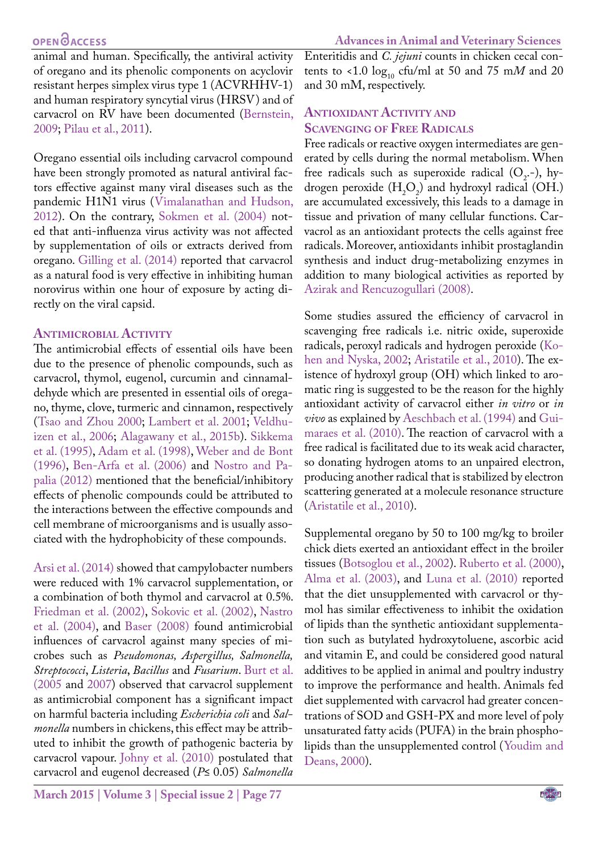animal and human. Specifically, the antiviral activity of oregano and its phenolic components on acyclovir resistant herpes simplex virus type 1 (ACVRHHV-1) and human respiratory syncytial virus (HRSV) and of carvacrol on RV have been documented ([Bernstein,](#page-8-7) [2009](#page-8-7); Pilau et al., 2011).

Oregano essential oils including carvacrol compound have been strongly promoted as natural antiviral factors effective against many viral diseases such as the pandemic H1N1 virus (Vimalanathan and Hudson, 2012). On the contrary, Sokmen et al. (2004) noted that anti-influenza virus activity was not affected by supplementation of oils or extracts derived from oregano. [Gilling et al. \(2014\)](#page-8-8) reported that carvacrol as a natural food is very effective in inhibiting human norovirus within one hour of exposure by acting directly on the viral capsid.

## **Antimicrobial Activity**

The antimicrobial effects of essential oils have been due to the presence of phenolic compounds, such as carvacrol, thymol, eugenol, curcumin and cinnamaldehyde which are presented in essential oils of oregano, thyme, clove, turmeric and cinnamon, respectively (Tsao and Zhou 2000; [Lambert et al. 2001](#page-9-10); Veldhuizen et al., 2006; [Alagawany et al., 2015b](#page-7-4)). Sikkema et al. (1995), [Adam et al. \(1998\)](#page-6-2), Weber and de Bont (1996), [Ben-Arfa et al. \(2006\)](#page-7-8) and Nostro and Papalia (2012) mentioned that the beneficial/inhibitory effects of phenolic compounds could be attributed to the interactions between the effective compounds and cell membrane of microorganisms and is usually associated with the hydrophobicity of these compounds.

[Arsi et al. \(2014\)](#page-7-9) showed that campylobacter numbers were reduced with 1% carvacrol supplementation, or a combination of both thymol and carvacrol at 0.5%. [Friedman et al. \(2002\)](#page-8-9), Sokovic et al. (2002), Nastro et al. (2004), and [Baser \(2008\)](#page-7-10) found antimicrobial influences of carvacrol against many species of microbes such as *Pseudomonas, Aspergillus, Salmonella, Streptococci*, *Listeria*, *Bacillus* and *Fusarium*. [Burt et al.](#page-8-10) [\(2005](#page-8-10) and [2007](#page-8-11)) observed that carvacrol supplement as antimicrobial component has a significant impact on harmful bacteria including *Escherichia coli* and *Salmonella* numbers in chickens, this effect may be attributed to inhibit the growth of pathogenic bacteria by carvacrol vapour. [Johny et al. \(2010\)](#page-9-11) postulated that carvacrol and eugenol decreased (*P*≤ 0.05) *Salmonella*

Enteritidis and *C. jejuni* counts in chicken cecal contents to <1.0  $log_{10}$  cfu/ml at 50 and 75 mM and 20 and 30 mM, respectively.

# **Antioxidant Activity and Scavenging of Free Radicals**

Free radicals or reactive oxygen intermediates are generated by cells during the normal metabolism. When free radicals such as superoxide radical  $(O_2, -)$ , hydrogen peroxide  $(H_2O_2)$  and hydroxyl radical (OH.) are accumulated excessively, this leads to a damage in tissue and privation of many cellular functions. Carvacrol as an antioxidant protects the cells against free radicals. Moreover, antioxidants inhibit prostaglandin synthesis and induct drug-metabolizing enzymes in addition to many biological activities as reported by [Azirak and Rencuzogullari \(2008\).](#page-7-11)

Some studies assured the efficiency of carvacrol in scavenging free radicals i.e. nitric oxide, superoxide radicals, peroxyl radicals and hydrogen peroxide (Kohen and Nyska, 2002; [Aristatile et al., 2010\)](#page-7-12). The existence of hydroxyl group (OH) which linked to aromatic ring is suggested to be the reason for the highly antioxidant activity of carvacrol either *in vitro* or *in vivo* as explained by [Aeschbach et al. \(1994\)](#page-6-3) and Guimaraes et al. (2010). The reaction of carvacrol with a free radical is facilitated due to its weak acid character, so donating hydrogen atoms to an unpaired electron, producing another radical that is stabilized by electron scattering generated at a molecule resonance structure [\(Aristatile et al., 2010\)](#page-7-12).

Supplemental oregano by 50 to 100 mg/kg to broiler chick diets exerted an antioxidant effect in the broiler tissues ([Botsoglou et al., 2002\)](#page-8-12). Ruberto et al. (2000), [Alma et al. \(2003\),](#page-7-13) and Luna et al. (2010) reported that the diet unsupplemented with carvacrol or thymol has similar effectiveness to inhibit the oxidation of lipids than the synthetic antioxidant supplementation such as butylated hydroxytoluene, ascorbic acid and vitamin E, and could be considered good natural additives to be applied in animal and poultry industry to improve the performance and health. Animals fed diet supplemented with carvacrol had greater concentrations of SOD and GSH-PX and more level of poly unsaturated fatty acids (PUFA) in the brain phospholipids than the unsupplemented control (Youdim and Deans, 2000).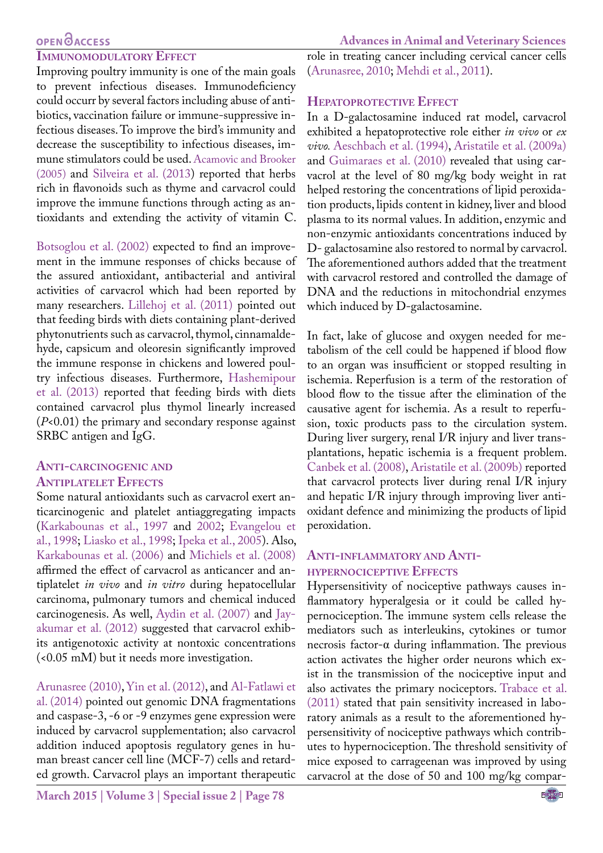#### **IMMUNOMODULATORY EFFECT**

Improving poultry immunity is one of the main goals to prevent infectious diseases. Immunodeficiency could occurr by several factors including abuse of antibiotics, vaccination failure or immune-suppressive infectious diseases. To improve the bird's immunity and decrease the susceptibility to infectious diseases, immune stimulators could be used. [Acamovic and Brooker](#page-6-4)  [\(2005\)](#page-6-4) and Silveira et al. (2013) reported that herbs rich in flavonoids such as thyme and carvacrol could improve the immune functions through acting as antioxidants and extending the activity of vitamin C.

[Botsoglou et al. \(2002](#page-8-12)) expected to find an improvement in the immune responses of chicks because of the assured antioxidant, antibacterial and antiviral activities of carvacrol which had been reported by many researchers. [Lillehoj et al. \(2011\)](#page-10-1) pointed out that feeding birds with diets containing plant-derived phytonutrients such as carvacrol, thymol, cinnamaldehyde, capsicum and oleoresin significantly improved the immune response in chickens and lowered poultry infectious diseases. Furthermore, [Hashemipour](#page-8-0)  [et al. \(2013\)](#page-8-0) reported that feeding birds with diets contained carvacrol plus thymol linearly increased (*P*<0.01) the primary and secondary response against SRBC antigen and IgG.

#### **Anti-carcinogenic and Antiplatelet Effects**

Some natural antioxidants such as carvacrol exert anticarcinogenic and platelet antiaggregating impacts ([Karkabounas et al., 1997](#page-9-12) and [2002](#page-9-13); [Evangelou et](#page-8-13)  [al., 1998;](#page-8-13) [Liasko et al., 1998](#page-10-2); [Ipeka et al., 2005\)](#page-9-14). Also, [Karkabounas et al. \(2006\)](#page-9-15) and Michiels et al. (2008) affirmed the effect of carvacrol as anticancer and antiplatelet *in vivo* and *in vitro* during hepatocellular carcinoma, pulmonary tumors and chemical induced carcinogenesis. As well, [Aydin et al. \(2007\)](#page-7-14) and [Jay](#page-9-16)[akumar et al. \(2012\)](#page-9-16) suggested that carvacrol exhibits antigenotoxic activity at nontoxic concentrations (<0.05 mM) but it needs more investigation.

[Arunasree \(2010\),](#page-7-15) Yin et al. (2012), and [Al-Fatlawi et](#page-7-16)  [al. \(2014\)](#page-7-16) pointed out genomic DNA fragmentations and caspase-3, -6 or -9 enzymes gene expression were induced by carvacrol supplementation; also carvacrol addition induced apoptosis regulatory genes in human breast cancer cell line (MCF-7) cells and retarded growth. Carvacrol plays an important therapeutic role in treating cancer including cervical cancer cells [\(Arunasree, 2010;](#page-7-15) Mehdi et al., 2011).

#### **Hepatoprotective Effect**

In a D-galactosamine induced rat model, carvacrol exhibited a hepatoprotective role either *in vivo* or *ex vivo.* [Aeschbach et al. \(1994\),](#page-6-3) [Aristatile et al. \(2009a\)](#page-7-12) and Guimaraes et al. (2010) revealed that using carvacrol at the level of 80 mg/kg body weight in rat helped restoring the concentrations of lipid peroxidation products, lipids content in kidney, liver and blood plasma to its normal values. In addition, enzymic and non-enzymic antioxidants concentrations induced by D- galactosamine also restored to normal by carvacrol. The aforementioned authors added that the treatment with carvacrol restored and controlled the damage of DNA and the reductions in mitochondrial enzymes which induced by D-galactosamine.

In fact, lake of glucose and oxygen needed for metabolism of the cell could be happened if blood flow to an organ was insufficient or stopped resulting in ischemia. Reperfusion is a term of the restoration of blood flow to the tissue after the elimination of the causative agent for ischemia. As a result to reperfusion, toxic products pass to the circulation system. During liver surgery, renal I/R injury and liver transplantations, hepatic ischemia is a frequent problem. [Canbek et al. \(2008\)](#page-8-14), [Aristatile et al. \(2009b\)](#page-7-17) reported that carvacrol protects liver during renal I/R injury and hepatic I/R injury through improving liver antioxidant defence and minimizing the products of lipid peroxidation.

#### **Anti-inflammatory and Antihypernociceptive Effects**

Hypersensitivity of nociceptive pathways causes inflammatory hyperalgesia or it could be called hypernociception. The immune system cells release the mediators such as interleukins, cytokines or tumor necrosis factor-α during inflammation. The previous action activates the higher order neurons which exist in the transmission of the nociceptive input and also activates the primary nociceptors. Trabace et al. (2011) stated that pain sensitivity increased in laboratory animals as a result to the aforementioned hypersensitivity of nociceptive pathways which contributes to hypernociception. The threshold sensitivity of mice exposed to carrageenan was improved by using carvacrol at the dose of 50 and 100 mg/kg compar-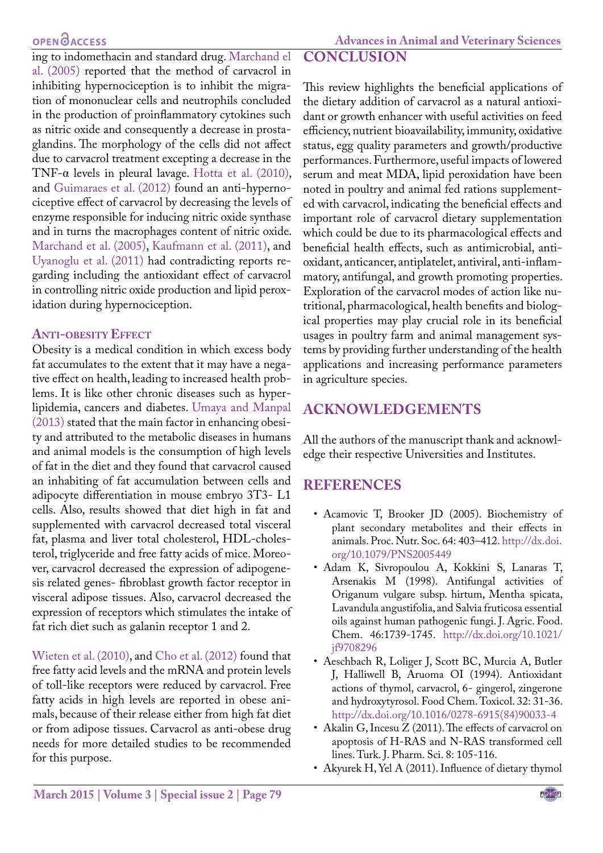**Advances in Animal and Veterinary Sciences**

ing to indomethacin and standard drug. Marchand el al. (2005) reported that the method of carvacrol in inhibiting hypernociception is to inhibit the migration of mononuclear cells and neutrophils concluded in the production of proinflammatory cytokines such as nitric oxide and consequently a decrease in prostaglandins. The morphology of the cells did not affect due to carvacrol treatment excepting a decrease in the TNF-α levels in pleural lavage. [Hotta et al. \(2010\)](#page-9-17), and [Guimaraes et al. \(2012\)](#page-8-15) found an anti-hypernociceptive effect of carvacrol by decreasing the levels of enzyme responsible for inducing nitric oxide synthase and in turns the macrophages content of nitric oxide. Marchand et al. (2005), [Kaufmann et al. \(2011\),](#page-9-18) and Uyanoglu et al. (2011) had contradicting reports regarding including the antioxidant effect of carvacrol in controlling nitric oxide production and lipid perox-

#### **Anti-obesity Effect**

idation during hypernociception.

Obesity is a [medical condition](http://en.wikipedia.org/wiki/Medical_condition) in which excess [body](http://en.wikipedia.org/wiki/Body_fat) [fat](http://en.wikipedia.org/wiki/Body_fat) accumulates to the extent that it may have a negative effect on health, leading to increased health problems. It is like other chronic diseases such as hyperlipidemia, cancers and diabetes. Umaya and Manpal (2013) stated that the main factor in enhancing obesity and attributed to the metabolic diseases in humans and animal models is the consumption of high levels of fat in the diet and they found that carvacrol caused an inhabiting of fat accumulation between cells and adipocyte differentiation in mouse embryo 3T3- L1 cells. Also, results showed that diet high in fat and supplemented with carvacrol decreased total visceral fat, plasma and liver total cholesterol, HDL-cholesterol, triglyceride and free fatty acids of mice. Moreover, carvacrol decreased the expression of adipogenesis related genes- fibroblast growth factor receptor in visceral adipose tissues. Also, carvacrol decreased the expression of receptors which stimulates the intake of fat rich diet such as galanin receptor 1 and 2.

Wieten et al. (2010), and [Cho et al. \(2012\)](#page-8-16) found that free fatty acid levels and the mRNA and protein levels of toll-like receptors were reduced by carvacrol. Free fatty acids in high levels are reported in obese animals, because of their release either from high fat diet or from adipose tissues. Carvacrol as anti-obese drug needs for more detailed studies to be recommended for this purpose.

# **CONCLUSION**

This review highlights the beneficial applications of the dietary addition of carvacrol as a natural antioxidant or growth enhancer with useful activities on feed efficiency, nutrient bioavailability, immunity, oxidative status, egg quality parameters and growth/productive performances. Furthermore, useful impacts of lowered serum and meat MDA, lipid peroxidation have been noted in poultry and animal fed rations supplemented with carvacrol, indicating the beneficial effects and important role of carvacrol dietary supplementation which could be due to its pharmacological effects and beneficial health effects, such as antimicrobial, antioxidant, anticancer, antiplatelet, antiviral, anti-inflammatory, antifungal, and growth promoting properties. Exploration of the carvacrol modes of action like nutritional, pharmacological, health benefits and biological properties may play crucial role in its beneficial usages in poultry farm and animal management systems by providing further understanding of the health applications and increasing performance parameters in agriculture species.

# **ACKNOWLEDGEMENTS**

All the authors of the manuscript thank and acknowledge their respective Universities and Institutes.

## **REFERENCES**

- <span id="page-6-4"></span>• Acamovic T, Brooker JD (2005). Biochemistry of plant secondary metabolites and their effects in animals. Proc. Nutr. Soc. 64: 403–412. [http://dx.doi.](http://dx.doi.org/10.1079/PNS2005449) [org/10.1079/PNS2005449](http://dx.doi.org/10.1079/PNS2005449)
- <span id="page-6-2"></span>• Adam K, Sivropoulou A, Kokkini S, Lanaras T, Arsenakis M (1998). Antifungal activities of Origanum vulgare subsp. hirtum, Mentha spicata, Lavandula angustifolia, and Salvia fruticosa essential oils against human pathogenic fungi. J. Agric. Food. Chem. 46:1739-1745. [http://dx.doi.org/10.1021/](http://dx.doi.org/10.1021/jf9708296) [jf9708296](http://dx.doi.org/10.1021/jf9708296)
- <span id="page-6-3"></span>• Aeschbach R, Loliger J, Scott BC, Murcia A, Butler J, Halliwell B, Aruoma OI (1994). Antioxidant actions of thymol, carvacrol, 6- gingerol, zingerone and hydroxytyrosol. Food Chem. Toxicol. 32: 31-36. [http://dx.doi.org/10.1016/0278-6915\(84\)90033-4](http://dx.doi.org/10.1016/0278-6915(84)90033-4)
- <span id="page-6-1"></span>• Akalin G, Incesu Z (2011). The effects of carvacrol on apoptosis of H-RAS and N-RAS transformed cell lines. Turk. J. Pharm. Sci. 8: 105-116.
- <span id="page-6-0"></span>• Akyurek H, Yel A (2011). Influence of dietary thymol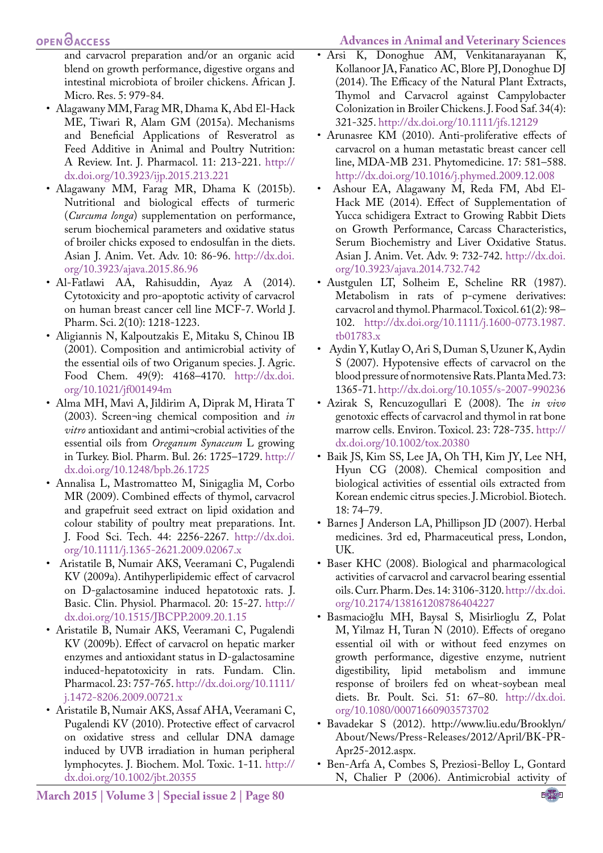# **OPEN**OACCESS

and carvacrol preparation and/or an organic acid blend on growth performance, digestive organs and intestinal microbiota of broiler chickens. African J. Micro. Res. 5: 979-84.

- <span id="page-7-3"></span>• Alagawany MM, Farag MR, Dhama K, Abd El-Hack ME, Tiwari R, Alam GM (2015a). Mechanisms and Beneficial Applications of Resveratrol as Feed Additive in Animal and Poultry Nutrition: A Review. Int. J. Pharmacol. 11: 213-221. [http://](http://dx.doi.org/10.3923/ijp.2015.213.221) [dx.doi.org/10.3923/ijp.2015.213.221](http://dx.doi.org/10.3923/ijp.2015.213.221)
- <span id="page-7-4"></span>• Alagawany MM, Farag MR, Dhama K (2015b). Nutritional and biological effects of turmeric (*Curcuma longa*) supplementation on performance, serum biochemical parameters and oxidative status of broiler chicks exposed to endosulfan in the diets. Asian J. Anim. Vet. Adv. 10: 86-96. [http://dx.doi.](http://dx.doi.org/10.3923/ajava.2015.86.96) [org/10.3923/ajava.2015.86.96](http://dx.doi.org/10.3923/ajava.2015.86.96)
- <span id="page-7-16"></span>• Al-Fatlawi AA, Rahisuddin, Ayaz A (2014). Cytotoxicity and pro-apoptotic activity of carvacrol on human breast cancer cell line MCF-7. World J. Pharm. Sci. 2(10): 1218-1223.
- <span id="page-7-5"></span>• Aligiannis N, Kalpoutzakis E, Mitaku S, Chinou IB (2001). Composition and antimicrobial activity of the essential oils of two Origanum species. J. Agric. Food Chem. 49(9): 4168–4170. [http://dx.doi.](http://dx.doi.org/10.1021/jf001494m) [org/10.1021/jf001494m](http://dx.doi.org/10.1021/jf001494m)
- <span id="page-7-13"></span>• Alma MH, Mavi A, Jildirim A, Diprak M, Hirata T (2003). Screen¬ing chemical composition and *in vitro* antioxidant and antimi¬crobial activities of the essential oils from *Oreganum Synaceum* L growing in Turkey. Biol. Pharm. Bul. 26: 1725–1729. [http://](http://dx.doi.org/10.1248/bpb.26.1725) [dx.doi.org/10.1248/bpb.26.1725](http://dx.doi.org/10.1248/bpb.26.1725)
- <span id="page-7-7"></span>• Annalisa L, Mastromatteo M, Sinigaglia M, Corbo MR (2009). Combined effects of thymol, carvacrol and grapefruit seed extract on lipid oxidation and colour stability of poultry meat preparations. Int. J. Food Sci. Tech. 44: 2256-2267. [http://dx.doi.](http://dx.doi.org/10.1111/j.1365-2621.2009.02067.x) [org/10.1111/j.1365-2621.2009.02067.x](http://dx.doi.org/10.1111/j.1365-2621.2009.02067.x)
- Aristatile B, Numair AKS, Veeramani C, Pugalendi KV (2009a). Antihyperlipidemic effect of carvacrol on D-galactosamine induced hepatotoxic rats. J. Basic. Clin. Physiol. Pharmacol. 20: 15-27. [http://](http://dx.doi.org/10.1515/JBCPP.2009.20.1.15) [dx.doi.org/10.1515/JBCPP.2009.20.1.15](http://dx.doi.org/10.1515/JBCPP.2009.20.1.15)
- <span id="page-7-17"></span>• Aristatile B, Numair AKS, Veeramani C, Pugalendi KV (2009b). Effect of carvacrol on hepatic marker enzymes and antioxidant status in D-galactosamine induced-hepatotoxicity in rats. Fundam. Clin. Pharmacol. 23: 757-765. [http://dx.doi.org/10.1111/](http://dx.doi.org/10.1111/j.1472-8206.2009.00721.x) [j.1472-8206.2009.00721.x](http://dx.doi.org/10.1111/j.1472-8206.2009.00721.x)
- <span id="page-7-12"></span>• Aristatile B, Numair AKS, Assaf AHA, Veeramani C, Pugalendi KV (2010). Protective effect of carvacrol on oxidative stress and cellular DNA damage induced by UVB irradiation in human peripheral lymphocytes. J. Biochem. Mol. Toxic. 1-11. [http://](http://dx.doi.org/10.1002/jbt.20355) [dx.doi.org/10.1002/jbt.20355](http://dx.doi.org/10.1002/jbt.20355)

**March 2015 | Volume 3 | Special issue 2 | Page 80**

- <span id="page-7-9"></span>• Arsi K, Donoghue AM, Venkitanarayanan K, Kollanoor JA, Fanatico AC, Blore PJ, Donoghue DJ (2014). The Efficacy of the Natural Plant Extracts, Thymol and Carvacrol against Campylobacter Colonization in Broiler Chickens. J. Food Saf. 34(4): 321-325. <http://dx.doi.org/10.1111/jfs.12129>
- <span id="page-7-15"></span>• Arunasree KM (2010). Anti-proliferative effects of carvacrol on a human metastatic breast cancer cell line, MDA-MB 231. Phytomedicine. 17: 581–588. <http://dx.doi.org/10.1016/j.phymed.2009.12.008>
- <span id="page-7-2"></span>• Ashour EA, Alagawany M, Reda FM, Abd El-Hack ME (2014). Effect of Supplementation of Yucca schidigera Extract to Growing Rabbit Diets on Growth Performance, Carcass Characteristics, Serum Biochemistry and Liver Oxidative Status. Asian J. Anim. Vet. Adv. 9: 732-742. [http://dx.doi.](http://dx.doi.org/10.3923/ajava.2014.732.742) [org/10.3923/ajava.2014.732.742](http://dx.doi.org/10.3923/ajava.2014.732.742)
- <span id="page-7-6"></span>• Austgulen LT, Solheim E, Scheline RR (1987). Metabolism in rats of p-cymene derivatives: carvacrol and thymol. Pharmacol. Toxicol. 61(2): 98– 102. [http://dx.doi.org/10.1111/j.1600-0773.1987.](http://dx.doi.org/10.1111/j.1600-0773.1987.tb01783.x) [tb01783.x](http://dx.doi.org/10.1111/j.1600-0773.1987.tb01783.x)
- <span id="page-7-14"></span>• Aydin Y, Kutlay O, Ari S, Duman S, Uzuner K, Aydin S (2007). Hypotensive effects of carvacrol on the blood pressure of normotensive Rats. Planta Med. 73: 1365-71. [http://dx.doi.org/10.1055/s-2007-990236](http://dx.doi.org/10.1055/s-2007-990236 )
- <span id="page-7-11"></span>• Azirak S, Rencuzogullari E (2008). The *in vivo* genotoxic effects of carvacrol and thymol in rat bone marrow cells. Environ. Toxicol. 23: 728-735. [http://](http://dx.doi.org/10.1002/tox.20380) [dx.doi.org/10.1002/tox.20380](http://dx.doi.org/10.1002/tox.20380)
- Baik JS, Kim SS, Lee JA, Oh TH, Kim JY, Lee NH, Hyun CG (2008). Chemical composition and biological activities of essential oils extracted from Korean endemic citrus species. J. Microbiol. Biotech. 18: 74–79.
- <span id="page-7-0"></span>• Barnes J Anderson LA, Phillipson JD (2007). Herbal medicines. 3rd ed, Pharmaceutical press, London, UK.
- <span id="page-7-10"></span>• Baser KHC (2008). Biological and pharmacological activities of carvacrol and carvacrol bearing essential oils. Curr. Pharm. Des. 14: 3106-3120. [http://dx.doi.](http://dx.doi.org/10.2174/138161208786404227) [org/10.2174/138161208786404227](http://dx.doi.org/10.2174/138161208786404227)
- Basmacioğlu MH, Baysal S, Misirlioglu Z, Polat M, Yilmaz H, Turan N (2010). Effects of oregano essential oil with or without feed enzymes on growth performance, digestive enzyme, nutrient digestibility, lipid metabolism and immune response of broilers fed on wheat-soybean meal diets. Br. Poult. Sci. 51: 67–80. [http://dx.doi.](http://dx.doi.org/10.1080/00071660903573702) [org/10.1080/00071660903573702](http://dx.doi.org/10.1080/00071660903573702)
- <span id="page-7-1"></span>• Bavadekar S (2012). http://www.liu.edu/Brooklyn/ About/News/Press-Releases/2012/April/BK-PR-Apr25-2012.aspx.
- <span id="page-7-8"></span>• Ben-Arfa A, Combes S, Preziosi-Belloy L, Gontard N, Chalier P (2006). Antimicrobial activity of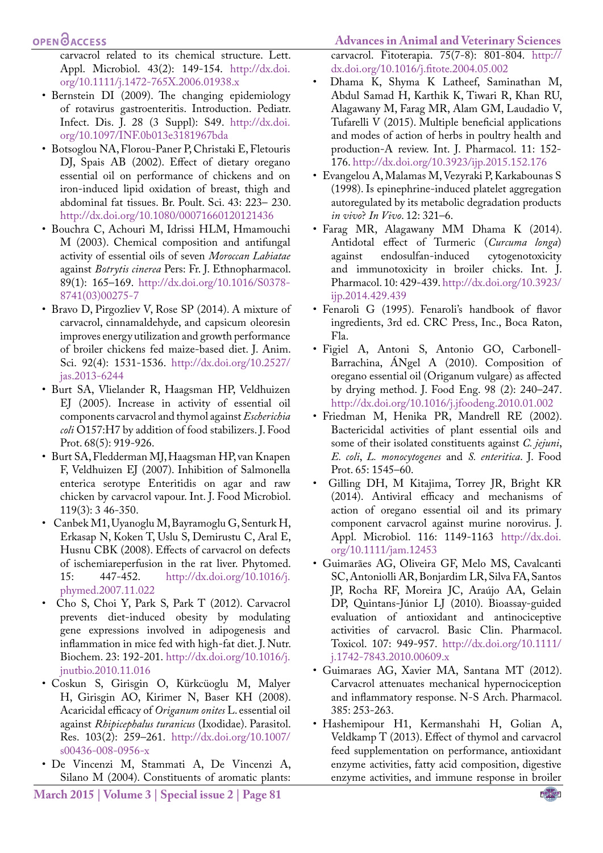carvacrol related to its chemical structure. Lett. Appl. Microbiol. 43(2): 149-154. [http://dx.doi.](http://dx.doi.org/10.1111/j.1472-765X.2006.01938.x) [org/10.1111/j.1472-765X.2006.01938.x](http://dx.doi.org/10.1111/j.1472-765X.2006.01938.x)

- <span id="page-8-7"></span>• Bernstein DI (2009). The changing epidemiology of rotavirus gastroenteritis. Introduction. Pediatr. Infect. Dis. J. 28 (3 Suppl): S49. [http://dx.doi.](http://dx.doi.org/10.1097/INF.0b013e3181967bda) [org/10.1097/INF.0b013e3181967bda](http://dx.doi.org/10.1097/INF.0b013e3181967bda)
- <span id="page-8-12"></span>• Botsoglou NA, Florou-Paner P, Christaki E, Fletouris DJ, Spais AB (2002). Effect of dietary oregano essential oil on performance of chickens and on iron-induced lipid oxidation of breast, thigh and abdominal fat tissues. Br. Poult. Sci. 43: 223– 230. <http://dx.doi.org/10.1080/00071660120121436>
- <span id="page-8-5"></span>• Bouchra C, Achouri M, Idrissi HLM, Hmamouchi M (2003). Chemical composition and antifungal activity of essential oils of seven *Moroccan Labiatae*  against *Botrytis cinerea* Pers: Fr. J. Ethnopharmacol. 89(1): 165–169. [http://dx.doi.org/10.1016/S0378-](http://dx.doi.org/10.1016/S0378-8741(03)00275-7) [8741\(03\)00275-7](http://dx.doi.org/10.1016/S0378-8741(03)00275-7)
- <span id="page-8-1"></span>• Bravo D, Pirgozliev V, Rose SP (2014). A mixture of carvacrol, cinnamaldehyde, and capsicum oleoresin improves energy utilization and growth performance of broiler chickens fed maize-based diet. J. Anim. Sci. 92(4): 1531-1536. [http://dx.doi.org/10.2527/](http://dx.doi.org/10.2527/jas.2013-6244) [jas.2013-6244](http://dx.doi.org/10.2527/jas.2013-6244)
- <span id="page-8-10"></span>• Burt SA, Vlielander R, Haagsman HP, Veldhuizen EJ (2005). Increase in activity of essential oil components carvacrol and thymol against *Escherichia coli* O157:H7 by addition of food stabilizers. J. Food Prot. 68(5): 919-926.
- <span id="page-8-11"></span>• Burt SA, Fledderman MJ, Haagsman HP, van Knapen F, Veldhuizen EJ (2007). Inhibition of Salmonella enterica serotype Enteritidis on agar and raw chicken by carvacrol vapour. Int. J. Food Microbiol. 119(3): 3 46-350.
- <span id="page-8-14"></span>• Canbek M1, Uyanoglu M, Bayramoglu G, Senturk H, Erkasap N, Koken T, Uslu S, Demirustu C, Aral E, Husnu CBK (2008). Effects of carvacrol on defects of ischemiareperfusion in the rat liver. Phytomed. 15: 447-452. [http://dx.doi.org/10.1016/j.](http://dx.doi.org/10.1016/j.phymed.2007.11.022) [phymed.2007.11.022](http://dx.doi.org/10.1016/j.phymed.2007.11.022)
- <span id="page-8-16"></span>• Cho S, Choi Y, Park S, Park T (2012). Carvacrol prevents diet-induced obesity by modulating gene expressions involved in adipogenesis and inflammation in mice fed with high-fat diet. J. Nutr. Biochem. 23: 192-201. [http://dx.doi.org/10.1016/j.](http://dx.doi.org/10.1016/j.jnutbio.2010.11.016) [jnutbio.2010.11.016](http://dx.doi.org/10.1016/j.jnutbio.2010.11.016)
- Coskun S, Girisgin O, Kürkcüoglu M, Malyer H, Girisgin AO, Kirimer N, Baser KH (2008). Acaricidal efficacy of *Origanum onites* L. essential oil against *Rhipicephalus turanicus* (Ixodidae). Parasitol. Res. 103(2): 259–261. [http://dx.doi.org/10.1007/](http://dx.doi.org/10.1007/s00436-008-0956-x) [s00436-008-0956-x](http://dx.doi.org/10.1007/s00436-008-0956-x)
- <span id="page-8-4"></span>• De Vincenzi M, Stammati A, De Vincenzi A, Silano M (2004). Constituents of aromatic plants:

**March 2015 | Volume 3 | Special issue 2 | Page 81**

**Advances in Animal and Veterinary Sciences** carvacrol. Fitoterapia. 75(7-8): 801-804. [http://](http://dx.doi.org/10.1016/j.fitote.2004.05.002) [dx.doi.org/10.1016/j.fitote.2004.05.002](http://dx.doi.org/10.1016/j.fitote.2004.05.002)

- <span id="page-8-3"></span>• Dhama K, Shyma K Latheef, Saminathan M, Abdul Samad H, Karthik K, Tiwari R, Khan RU, Alagawany M, Farag MR, Alam GM, Laudadio V, Tufarelli V (2015). Multiple beneficial applications and modes of action of herbs in poultry health and production-A review. Int. J. Pharmacol. 11: 152- 176.<http://dx.doi.org/10.3923/ijp.2015.152.176>
- <span id="page-8-13"></span>• Evangelou A, Malamas M, Vezyraki P, Karkabounas S (1998). Is epinephrine-induced platelet aggregation autoregulated by its metabolic degradation products *in vivo*? *In Vivo*. 12: 321–6.
- <span id="page-8-2"></span>• Farag MR, Alagawany MM Dhama K (2014). Antidotal effect of Turmeric (*Curcuma longa*) against endosulfan-induced and immunotoxicity in broiler chicks. Int. J. Pharmacol. 10: 429-439. [http://dx.doi.org/10.3923/](http://dx.doi.org/10.3923/ijp.2014.429.439) [ijp.2014.429.439](http://dx.doi.org/10.3923/ijp.2014.429.439)
- <span id="page-8-6"></span>• Fenaroli G (1995). Fenaroli's handbook of flavor ingredients, 3rd ed. CRC Press, Inc., Boca Raton, Fla.
- Figiel A, Antoni S, Antonio GO, Carbonell-Barrachina, ÁNgel A (2010). Composition of oregano essential oil (Origanum vulgare) as affected by drying method. J. Food Eng. 98 (2): 240–247. <http://dx.doi.org/10.1016/j.jfoodeng.2010.01.002>
- <span id="page-8-9"></span>• Friedman M, Henika PR, Mandrell RE (2002). Bactericidal activities of plant essential oils and some of their isolated constituents against *C. jejuni*, *E. coli*, *L. monocytogenes* and *S. enteritica*. J. Food Prot. 65: 1545–60.
- <span id="page-8-8"></span>• Gilling DH, M Kitajima, Torrey JR, Bright KR (2014). Antiviral efficacy and mechanisms of action of oregano essential oil and its primary component carvacrol against murine norovirus. J. Appl. Microbiol. 116: 1149-1163 [http://dx.doi.](http://dx.doi.org/10.1111/jam.12453) [org/10.1111/jam.12453](http://dx.doi.org/10.1111/jam.12453)
- Guimarães AG, Oliveira GF, Melo MS, Cavalcanti SC, Antoniolli AR, Bonjardim LR, Silva FA, Santos JP, Rocha RF, Moreira JC, Araújo AA, Gelain DP, Quintans-Júnior LJ (2010). Bioassay-guided evaluation of antioxidant and antinociceptive activities of carvacrol. Basic Clin. Pharmacol. Toxicol. 107: 949-957. [http://dx.doi.org/10.1111/](http://dx.doi.org/10.1111/j.1742-7843.2010.00609.x) [j.1742-7843.2010.00609.x](http://dx.doi.org/10.1111/j.1742-7843.2010.00609.x)
- <span id="page-8-15"></span>• Guimaraes AG, Xavier MA, Santana MT (2012). Carvacrol attenuates mechanical hypernociception and inflammatory response. N-S Arch. Pharmacol. 385: 253-263.
- <span id="page-8-0"></span>• Hashemipour H1, Kermanshahi H, Golian A, Veldkamp T (2013). Effect of thymol and carvacrol feed supplementation on performance, antioxidant enzyme activities, fatty acid composition, digestive enzyme activities, and immune response in broiler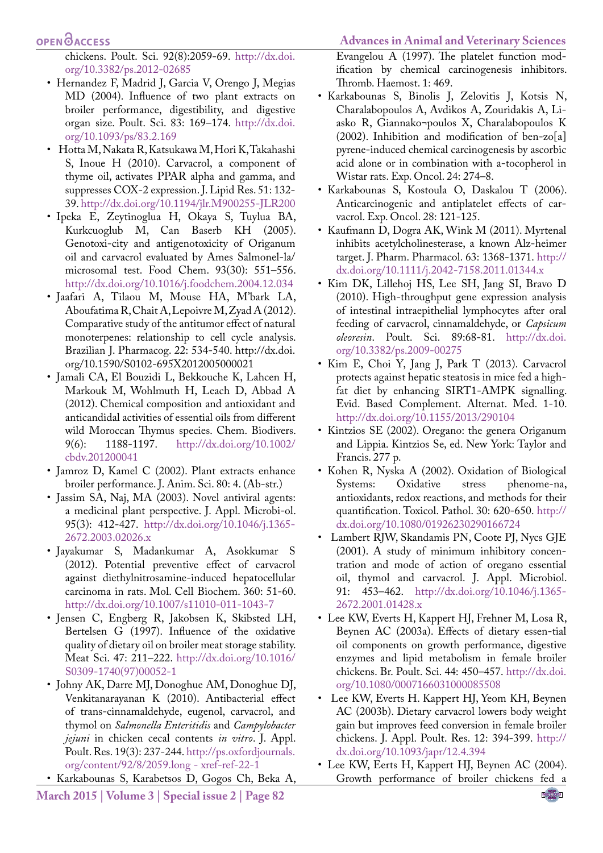#### **OPEN**OACCESS

<span id="page-9-5"></span>chickens. Poult. Sci. 92(8):2059-69. [http://dx.doi.](http://dx.doi.org/10.3382/ps.2012-02685) [org/10.3382/ps.2012-02685](http://dx.doi.org/10.3382/ps.2012-02685)

- Hernandez F, Madrid J, Garcia V, Orengo J, Megias MD (2004). Influence of two plant extracts on broiler performance, digestibility, and digestive organ size. Poult. Sci. 83: 169–174. [http://dx.doi.](http://dx.doi.org/10.1093/ps/83.2.169) [org/10.1093/ps/83.2.169](http://dx.doi.org/10.1093/ps/83.2.169)
- <span id="page-9-17"></span>• Hotta M, Nakata R, Katsukawa M, Hori K, Takahashi S, Inoue H (2010). Carvacrol, a component of thyme oil, activates PPAR alpha and gamma, and suppresses COX-2 expression. J. Lipid Res. 51: 132- 39.<http://dx.doi.org/10.1194/jlr.M900255-JLR200>
- <span id="page-9-14"></span>• Ipeka E, Zeytinoglua H, Okaya S, Tuylua BA, Kurkcuoglub M, Can Baserb KH (2005). Genotoxi-city and antigenotoxicity of Origanum oil and carvacrol evaluated by Ames Salmonel-la/ microsomal test. Food Chem. 93(30): 551–556. <http://dx.doi.org/10.1016/j.foodchem.2004.12.034>
- Jaafari A, Tilaou M, Mouse HA, M'bark LA, Aboufatima R, Chait A, Lepoivre M, Zyad A (2012). Comparative study of the antitumor effect of natural monoterpenes: relationship to cell cycle analysis. Brazilian J. Pharmacog. 22: 534-540. http://dx.doi. org/10.1590/S0102-695X2012005000021
- <span id="page-9-1"></span>• Jamali CA, El Bouzidi L, Bekkouche K, Lahcen H, Markouk M, Wohlmuth H, Leach D, Abbad A (2012). Chemical composition and antioxidant and anticandidal activities of essential oils from different wild Moroccan Thymus species. Chem. Biodivers. 9(6): 1188-1197. [http://dx.doi.org/10.1002/](http://dx.doi.org/10.1002/cbdv.201200041) [cbdv.201200041](http://dx.doi.org/10.1002/cbdv.201200041)
- <span id="page-9-3"></span>• Jamroz D, Kamel C (2002). Plant extracts enhance broiler performance. J. Anim. Sci. 80: 4. (Ab-str.)
- <span id="page-9-9"></span>• Jassim SA, Naj, MA (2003). Novel antiviral agents: a medicinal plant perspective. J. Appl. Microbi-ol. 95(3): 412-427. [http://dx.doi.org/10.1046/j.1365-](http://dx.doi.org/10.1046/j.1365-2672.2003.02026.x) [2672.2003.02026.x](http://dx.doi.org/10.1046/j.1365-2672.2003.02026.x)
- <span id="page-9-16"></span>• Jayakumar S, Madankumar A, Asokkumar S (2012). Potential preventive effect of carvacrol against diethylnitrosamine-induced hepatocellular carcinoma in rats. Mol. Cell Biochem. 360: 51-60. <http://dx.doi.org/10.1007/s11010-011-1043-7>
- Jensen C, Engberg R, Jakobsen K, Skibsted LH, Bertelsen G (1997). Influence of the oxidative quality of dietary oil on broiler meat storage stability. Meat Sci. 47: 211–222. [http://dx.doi.org/10.1016/](http://dx.doi.org/10.1016/S0309-1740(97)00052-1) [S0309-1740\(97\)00052-1](http://dx.doi.org/10.1016/S0309-1740(97)00052-1)
- <span id="page-9-11"></span>• Johny AK, Darre MJ, Donoghue AM, Donoghue DJ, Venkitanarayanan K (2010). Antibacterial effect of trans-cinnamaldehyde, eugenol, carvacrol, and thymol on *Salmonella Enteritidis* and *Campylobacter jejuni* in chicken cecal contents *in vitro*. J. Appl. Poult. Res. 19(3): 237-244. [http://ps.oxfordjournals.](http://ps.oxfordjournals.org/content/92/8/2059.long - xref-ref-22-1) [org/content/92/8/2059.long - xref-ref-22-1](http://ps.oxfordjournals.org/content/92/8/2059.long - xref-ref-22-1)
- <span id="page-9-12"></span>• Karkabounas S, Karabetsos D, Gogos Ch, Beka A,
- **March 2015 | Volume 3 | Special issue 2 | Page 82**

Evangelou A (1997). The platelet function modification by chemical carcinogenesis inhibitors. Thromb. Haemost. 1: 469.

- <span id="page-9-13"></span>• Karkabounas S, Binolis J, Zelovitis J, Kotsis N, Charalabopoulos A, Avdikos A, Zouridakis A, Liasko R, Giannako¬poulos X, Charalabopoulos K (2002). Inhibition and modification of ben-zo[a] pyrene-induced chemical carcinogenesis by ascorbic acid alone or in combination with a-tocopherol in Wistar rats. Exp. Oncol. 24: 274–8.
- <span id="page-9-15"></span>• Karkabounas S, Kostoula O, Daskalou T (2006). Anticarcinogenic and antiplatelet effects of carvacrol. Exp. Oncol. 28: 121-125.
- <span id="page-9-18"></span>• Kaufmann D, Dogra AK, Wink M (2011). Myrtenal inhibits acetylcholinesterase, a known Alz-heimer target. J. Pharm. Pharmacol. 63: 1368-1371. [http://](http://dx.doi.org/10.1111/j.2042-7158.2011.01344.x) [dx.doi.org/10.1111/j.2042-7158.2011.01344.x](http://dx.doi.org/10.1111/j.2042-7158.2011.01344.x)
- <span id="page-9-8"></span>• Kim DK, Lillehoj HS, Lee SH, Jang SI, Bravo D (2010). High-throughput gene expression analysis of intestinal intraepithelial lymphocytes after oral feeding of carvacrol, cinnamaldehyde, or *Capsicum oleoresin*. Poult. Sci. 89:68-81. [http://dx.doi.](http://dx.doi.org/10.3382/ps.2009-00275) [org/10.3382/ps.2009-00275](http://dx.doi.org/10.3382/ps.2009-00275)
- <span id="page-9-2"></span>• Kim E, Choi Y, Jang J, Park T (2013). Carvacrol protects against hepatic steatosis in mice fed a highfat diet by enhancing SIRT1-AMPK signalling. Evid. Based Complement. Alternat. Med. 1-10. <http://dx.doi.org/10.1155/2013/290104>
- <span id="page-9-0"></span>• Kintzios SE (2002). Oregano: the genera Origanum and Lippia. Kintzios Se, ed. New York: Taylor and Francis. 277 p.
- Kohen R, Nyska A (2002). Oxidation of Biological Systems: Oxidative stress phenome-na, antioxidants, redox reactions, and methods for their quantification. Toxicol. Pathol. 30: 620-650. [http://](http://dx.doi.org/10.1080/01926230290166724) [dx.doi.org/10.1080/01926230290166724](http://dx.doi.org/10.1080/01926230290166724)
- <span id="page-9-10"></span>• Lambert RJW, Skandamis PN, Coote PJ, Nycs GJE (2001). A study of minimum inhibitory concentration and mode of action of oregano essential oil, thymol and carvacrol. J. Appl. Microbiol. 91: 453–462. [http://dx.doi.org/10.1046/j.1365-](http://dx.doi.org/10.1046/j.1365-2672.2001.01428.x) [2672.2001.01428.x](http://dx.doi.org/10.1046/j.1365-2672.2001.01428.x)
- <span id="page-9-4"></span>• Lee KW, Everts H, Kappert HJ, Frehner M, Losa R, Beynen AC (2003a). Effects of dietary essen-tial oil components on growth performance, digestive enzymes and lipid metabolism in female broiler chickens. Br. Poult. Sci. 44: 450–457. [http://dx.doi.](http://dx.doi.org/10.1080/0007166031000085508) [org/10.1080/0007166031000085508](http://dx.doi.org/10.1080/0007166031000085508)
- <span id="page-9-6"></span>• Lee KW, Everts H. Kappert HJ, Yeom KH, Beynen AC (2003b). Dietary carvacrol lowers body weight gain but improves feed conversion in female broiler chickens. J. Appl. Poult. Res. 12: 394-399. [http://](http://dx.doi.org/10.1093/japr/12.4.394) [dx.doi.org/10.1093/japr/12.4.394](http://dx.doi.org/10.1093/japr/12.4.394)
- <span id="page-9-7"></span>• Lee KW, Eerts H, Kappert HJ, Beynen AC (2004). Growth performance of broiler chickens fed a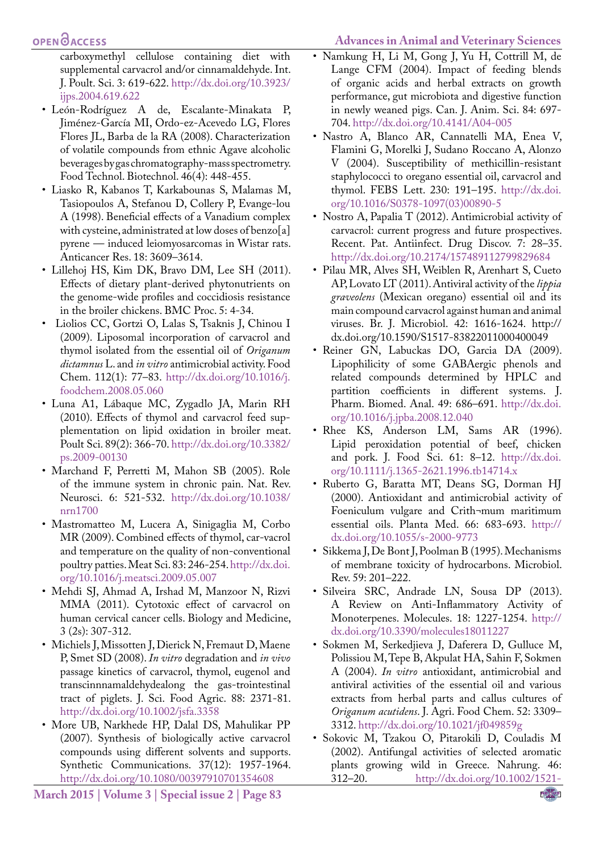## **OPEN**OACCESS

carboxymethyl cellulose containing diet with supplemental carvacrol and/or cinnamaldehyde. Int. J. Poult. Sci. 3: 619-622. [http://dx.doi.org/10.3923/](http://dx.doi.org/10.3923/ijps.2004.619.622) [ijps.2004.619.622](http://dx.doi.org/10.3923/ijps.2004.619.622)

- León-Rodríguez A de, Escalante-Minakata P, Jiménez-García MI, Ordo-ez-Acevedo LG, Flores Flores JL, Barba de la RA (2008). Characterization of volatile compounds from ethnic Agave alcoholic beverages by gas chromatography-mass spectrometry. Food Technol. Biotechnol. 46(4): 448-455.
- <span id="page-10-2"></span>• Liasko R, Kabanos T, Karkabounas S, Malamas M, Tasiopoulos A, Stefanou D, Collery P, Evange-lou A (1998). Beneficial effects of a Vanadium complex with cysteine, administrated at low doses of benzo[a] pyrene — induced leiomyosarcomas in Wistar rats. Anticancer Res. 18: 3609–3614.
- <span id="page-10-1"></span>• Lillehoj HS, Kim DK, Bravo DM, Lee SH (2011). Effects of dietary plant-derived phytonutrients on the genome-wide profiles and coccidiosis resistance in the broiler chickens. BMC Proc. 5: 4-34.
- <span id="page-10-0"></span>• Liolios CC, Gortzi O, Lalas S, Tsaknis J, Chinou I (2009). Liposomal incorporation of carvacrol and thymol isolated from the essential oil of *Origanum dictamnus* L. and *in vitro* antimicrobial activity. Food Chem. 112(1): 77–83. [http://dx.doi.org/10.1016/j.](http://dx.doi.org/10.1016/j.foodchem.2008.05.060) [foodchem.2008.05.060](http://dx.doi.org/10.1016/j.foodchem.2008.05.060)
- Luna A1, Lábaque MC, Zygadlo JA, Marin RH (2010). Effects of thymol and carvacrol feed supplementation on lipid oxidation in broiler meat. Poult Sci. 89(2): 366-70. [http://dx.doi.org/10.3382/](http://dx.doi.org/10.3382/ps.2009-00130) [ps.2009-00130](http://dx.doi.org/10.3382/ps.2009-00130)
- Marchand F, Perretti M, Mahon SB (2005). Role of the immune system in chronic pain. Nat. Rev. Neurosci. 6: 521-532. [http://dx.doi.org/10.1038/](http://dx.doi.org/10.1038/nrn1700) [nrn1700](http://dx.doi.org/10.1038/nrn1700)
- Mastromatteo M, Lucera A, Sinigaglia M, Corbo MR (2009). Combined effects of thymol, car-vacrol and temperature on the quality of non-conventional poultry patties. Meat Sci. 83: 246-254. [http://dx.doi.](http://dx.doi.org/10.1016/j.meatsci.2009.05.007) [org/10.1016/j.meatsci.2009.05.007](http://dx.doi.org/10.1016/j.meatsci.2009.05.007)
- Mehdi SJ, Ahmad A, Irshad M, Manzoor N, Rizvi MMA (2011). Cytotoxic effect of carvacrol on human cervical cancer cells. Biology and Medicine, 3 (2s): 307-312.
- Michiels J, Missotten J, Dierick N, Fremaut D, Maene P, Smet SD (2008). *In vitro* degradation and *in vivo* passage kinetics of carvacrol, thymol, eugenol and transcinnnamaldehydealong the gas-trointestinal tract of piglets. J. Sci. Food Agric. 88: 2371-81. [http://dx.doi.org/10.1002/jsfa.3358](http://dx.doi.org/10.1002/jsfa.3358 )
- More UB, Narkhede HP, Dalal DS, Mahulikar PP (2007). Synthesis of biologically active carvacrol compounds using different solvents and supports. Synthetic Communications. 37(12): 1957-1964. <http://dx.doi.org/10.1080/00397910701354608>

**March 2015 | Volume 3 | Special issue 2 | Page 83**

- Namkung H, Li M, Gong J, Yu H, Cottrill M, de Lange CFM (2004). Impact of feeding blends of organic acids and herbal extracts on growth performance, gut microbiota and digestive function in newly weaned pigs. Can. J. Anim. Sci. 84: 697- 704.<http://dx.doi.org/10.4141/A04-005>
- Nastro A, Blanco AR, Cannatelli MA, Enea V, Flamini G, Morelki J, Sudano Roccano A, Alonzo V (2004). Susceptibility of methicillin-resistant staphylococci to oregano essential oil, carvacrol and thymol. FEBS Lett. 230: 191–195. [http://dx.doi.](http://dx.doi.org/10.1016/S0378-1097(03)00890-5) [org/10.1016/S0378-1097\(03\)00890-5](http://dx.doi.org/10.1016/S0378-1097(03)00890-5)
- Nostro A, Papalia T (2012). Antimicrobial activity of carvacrol: current progress and future prospectives. Recent. Pat. Antiinfect. Drug Discov. 7: 28–35. <http://dx.doi.org/10.2174/157489112799829684>
- Pilau MR, Alves SH, Weiblen R, Arenhart S, Cueto AP, Lovato LT (2011). Antiviral activity of the *lippia graveolens* (Mexican oregano) essential oil and its main compound carvacrol against human and animal viruses. Br. J. Microbiol. 42: 1616-1624. http:// dx.doi.org/10.1590/S1517-83822011000400049
- Reiner GN, Labuckas DO, Garcia DA (2009). Lipophilicity of some GABAergic phenols and related compounds determined by HPLC and partition coefficients in different systems. J. Pharm. Biomed. Anal. 49: 686–691. [http://dx.doi.](http://dx.doi.org/10.1016/j.jpba.2008.12.040) [org/10.1016/j.jpba.2008.12.040](http://dx.doi.org/10.1016/j.jpba.2008.12.040)
- Rhee KS, Anderson LM, Sams AR (1996). Lipid peroxidation potential of beef, chicken and pork. J. Food Sci. 61: 8–12. [http://dx.doi.](http://dx.doi.org/10.1111/j.1365-2621.1996.tb14714.x) [org/10.1111/j.1365-2621.1996.tb14714.x](http://dx.doi.org/10.1111/j.1365-2621.1996.tb14714.x)
- Ruberto G, Baratta MT, Deans SG, Dorman HJ (2000). Antioxidant and antimicrobial activity of Foeniculum vulgare and Crith¬mum maritimum essential oils. Planta Med. 66: 683-693. [http://](http://dx.doi.org/10.1055/s-2000-9773) [dx.doi.org/10.1055/s-2000-9773](http://dx.doi.org/10.1055/s-2000-9773)
- Sikkema J, De Bont J, Poolman B (1995). Mechanisms of membrane toxicity of hydrocarbons. Microbiol. Rev. 59: 201–222.
- Silveira SRC, Andrade LN, Sousa DP (2013). A Review on Anti-Inflammatory Activity of Monoterpenes. Molecules. 18: 1227-1254. [http://](http://dx.doi.org/10.3390/molecules18011227) [dx.doi.org/10.3390/molecules18011227](http://dx.doi.org/10.3390/molecules18011227)
- Sokmen M, Serkedjieva J, Daferera D, Gulluce M, Polissiou M, Tepe B, Akpulat HA, Sahin F, Sokmen A (2004). *In vitro* antioxidant, antimicrobial and antiviral activities of the essential oil and various extracts from herbal parts and callus cultures of *Origanum acutidens*. J. Agri. Food Chem. 52: 3309– 3312. <http://dx.doi.org/10.1021/jf049859g>
- Sokovic M, Tzakou O, Pitarokili D, Couladis M (2002). Antifungal activities of selected aromatic plants growing wild in Greece. Nahrung. 46: 312–20. [http://dx.doi.org/10.1002/1521-](http://dx.doi.org/10.1002/1521-3803(20020901)46:5<317::AID-FOOD317>3.0.CO;2-B)